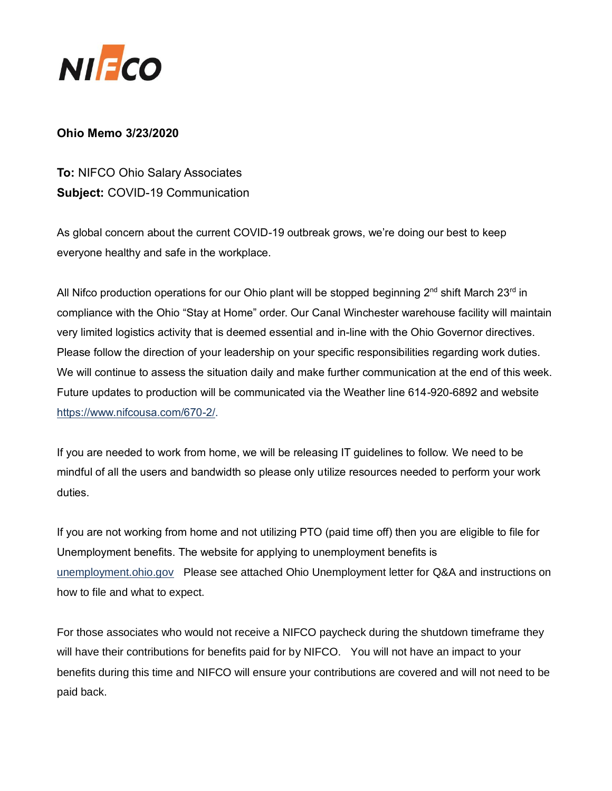

## **Ohio Memo 3/23/2020**

**To:** NIFCO Ohio Salary Associates **Subject:** COVID-19 Communication

As global concern about the current COVID-19 outbreak grows, we're doing our best to keep everyone healthy and safe in the workplace.

All Nifco production operations for our Ohio plant will be stopped beginning 2<sup>nd</sup> shift March 23<sup>rd</sup> in compliance with the Ohio "Stay at Home" order. Our Canal Winchester warehouse facility will maintain very limited logistics activity that is deemed essential and in-line with the Ohio Governor directives. Please follow the direction of your leadership on your specific responsibilities regarding work duties. We will continue to assess the situation daily and make further communication at the end of this week. Future updates to production will be communicated via the Weather line 614-920-6892 and website [https://www.nifcousa.com/670-2/.](https://www.nifcousa.com/670-2/)

If you are needed to work from home, we will be releasing IT guidelines to follow. We need to be mindful of all the users and bandwidth so please only utilize resources needed to perform your work duties.

If you are not working from home and not utilizing PTO (paid time off) then you are eligible to file for Unemployment benefits. The website for applying to unemployment benefits is [unemployment.ohio.gov](https://unemployment.ohio.gov/PublicSelfServiceChoice.html) Please see attached Ohio Unemployment letter for Q&A and instructions on how to file and what to expect.

For those associates who would not receive a NIFCO paycheck during the shutdown timeframe they will have their contributions for benefits paid for by NIFCO. You will not have an impact to your benefits during this time and NIFCO will ensure your contributions are covered and will not need to be paid back.